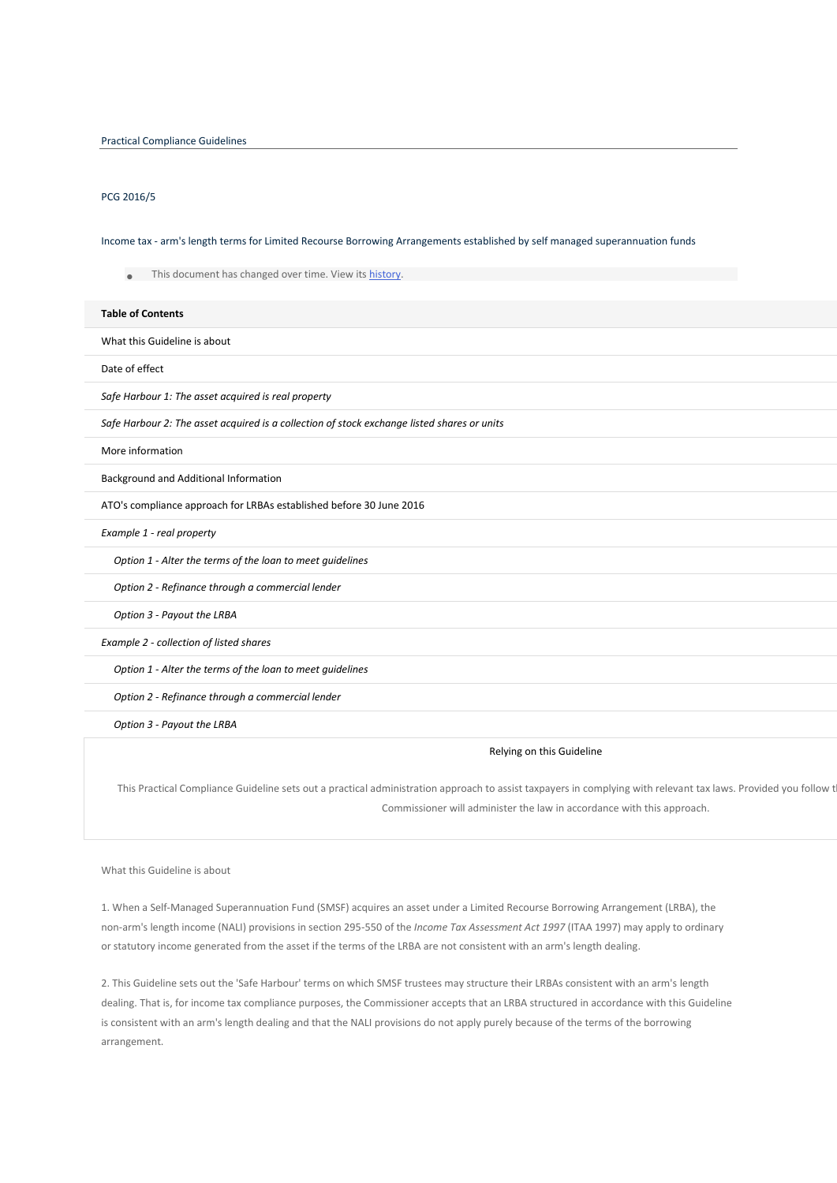# PCG 2016/5

Income tax - arm's length terms for Limited Recourse Borrowing Arrangements established by self managed superannuation funds

This document has changed over time. View its [history.](https://www.ato.gov.au/law/view.htm?DocID=COG/PCG20165/NAT/ATO/00001#LawTimeLine)

#### **Table of Contents Paragraph**

What this Guideline is about

Date of effect [4](https://www.ato.gov.au/law/view.htm?DocID=COG/PCG20165/NAT/ATO/00001#P4)

**Safe Harbour 1: The asset acquired is real property** 

*Safe Harbour 2: The asset acquired is a collection of stock exchange listed shares or units* [8](https://www.ato.gov.au/law/view.htm?DocID=COG/PCG20165/NAT/ATO/00001#P8)

More information **[10](https://www.ato.gov.au/law/view.htm?DocID=COG/PCG20165/NAT/ATO/00001#P10)0 and 200 and 200 and 200 and 200 and 200 and 200 and 200 and 200 and 200 and 200 and 200 and 200 and 200 and 200 and 200 and 200 and 200 and 200 and 200 and 200 and 200 and 200 and 200 and 200 and 200** 

Background and Additional Information

ATO's compliance approach for LRBAs established before 30 June 2016

**Example 1 - real property** 

*Option 1 - Alter the terms of the loan to meet guidelines* [25](https://www.ato.gov.au/law/view.htm?DocID=COG/PCG20165/NAT/ATO/00001#P25)

*Option 2 - Refinance through a commercial lender* 

**Option 3 - Payout the LRBA** 

**Example 2 - collection of listed shares** 

*Option 1 - Alter the terms of the loan to meet guidelines* [39](https://www.ato.gov.au/law/view.htm?DocID=COG/PCG20165/NAT/ATO/00001#P39)

*Option 2 - Refinance through a commercial lender* [41](https://www.ato.gov.au/law/view.htm?DocID=COG/PCG20165/NAT/ATO/00001#P41)

**Option 3 - Payout the LRBA** 

#### Relying on this Guideline

This Practical Compliance Guideline sets out a practical administration approach to assist taxpayers in complying with relevant tax laws. Provided you follow t Commissioner will administer the law in accordance with this approach.

What this Guideline is about

1. When a Self-Managed Superannuation Fund (SMSF) acquires an asset under a Limited Recourse Borrowing Arrangement (LRBA), the non-arm's length income (NALI) provisions in section 295-550 of the *Income Tax Assessment Act 1997* (ITAA 1997) may apply to ordinary or statutory income generated from the asset if the terms of the LRBA are not consistent with an arm's length dealing.

2. This Guideline sets out the 'Safe Harbour' terms on which SMSF trustees may structure their LRBAs consistent with an arm's length dealing. That is, for income tax compliance purposes, the Commissioner accepts that an LRBA structured in accordance with this Guideline is consistent with an arm's length dealing and that the NALI provisions do not apply purely because of the terms of the borrowing arrangement.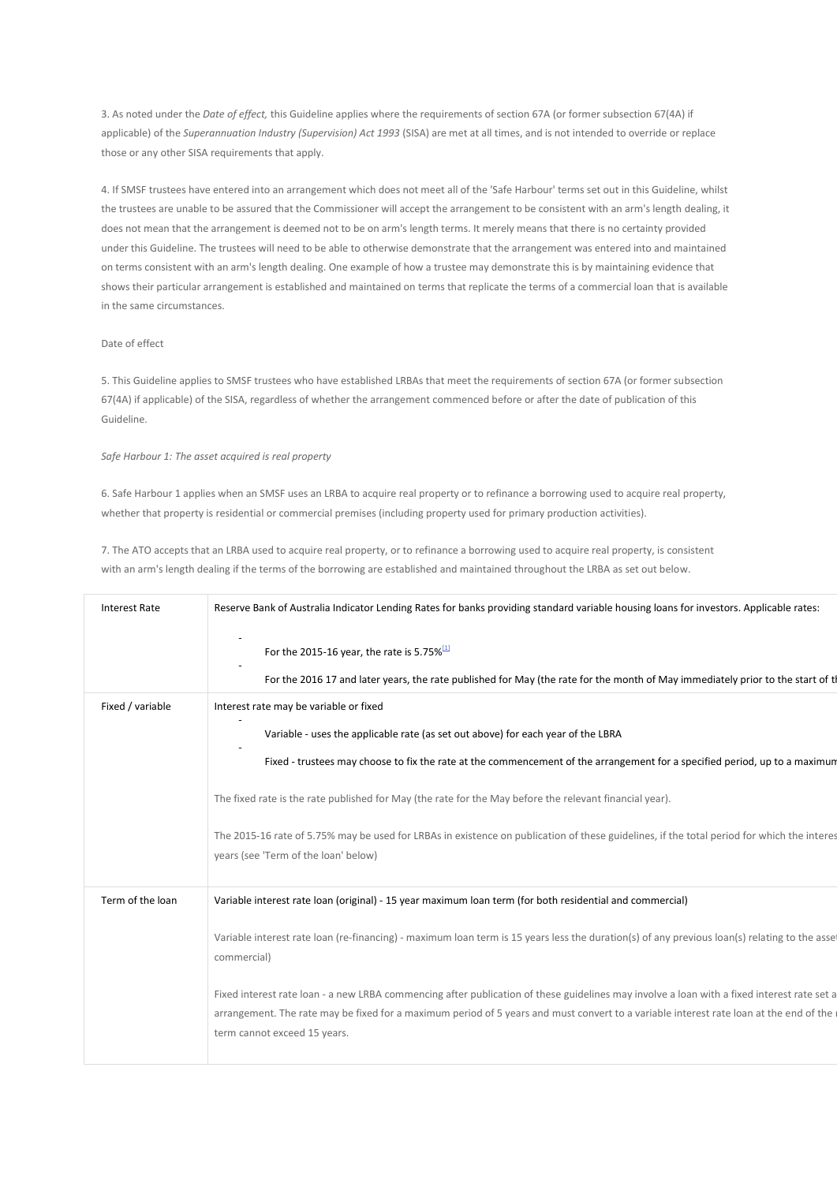3. As noted under the *Date of effect,* this Guideline applies where the requirements of section 67A (or former subsection 67(4A) if applicable) of the *Superannuation Industry (Supervision) Act 1993* (SISA) are met at all times, and is not intended to override or replace those or any other SISA requirements that apply.

4. If SMSF trustees have entered into an arrangement which does not meet all of the 'Safe Harbour' terms set out in this Guideline, whilst the trustees are unable to be assured that the Commissioner will accept the arrangement to be consistent with an arm's length dealing, it does not mean that the arrangement is deemed not to be on arm's length terms. It merely means that there is no certainty provided under this Guideline. The trustees will need to be able to otherwise demonstrate that the arrangement was entered into and maintained on terms consistent with an arm's length dealing. One example of how a trustee may demonstrate this is by maintaining evidence that shows their particular arrangement is established and maintained on terms that replicate the terms of a commercial loan that is available in the same circumstances.

## Date of effect

5. This Guideline applies to SMSF trustees who have established LRBAs that meet the requirements of section 67A (or former subsection 67(4A) if applicable) of the SISA, regardless of whether the arrangement commenced before or after the date of publication of this Guideline.

## *Safe Harbour 1: The asset acquired is real property*

6. Safe Harbour 1 applies when an SMSF uses an LRBA to acquire real property or to refinance a borrowing used to acquire real property, whether that property is residential or commercial premises (including property used for primary production activities).

7. The ATO accepts that an LRBA used to acquire real property, or to refinance a borrowing used to acquire real property, is consistent with an arm's length dealing if the terms of the borrowing are established and maintained throughout the LRBA as set out below.

| Interest Rate    | Reserve Bank of Australia Indicator Lending Rates for banks providing standard variable housing loans for investors. Applicable rates:                                                                                                                                                                               |  |  |
|------------------|----------------------------------------------------------------------------------------------------------------------------------------------------------------------------------------------------------------------------------------------------------------------------------------------------------------------|--|--|
|                  | For the 2015-16 year, the rate is 5.75% $^{[1]}$                                                                                                                                                                                                                                                                     |  |  |
|                  | For the 2016 17 and later years, the rate published for May (the rate for the month of May immediately prior to the start of tl                                                                                                                                                                                      |  |  |
| Fixed / variable | Interest rate may be variable or fixed                                                                                                                                                                                                                                                                               |  |  |
|                  | Variable - uses the applicable rate (as set out above) for each year of the LBRA                                                                                                                                                                                                                                     |  |  |
|                  | Fixed - trustees may choose to fix the rate at the commencement of the arrangement for a specified period, up to a maximum                                                                                                                                                                                           |  |  |
|                  | The fixed rate is the rate published for May (the rate for the May before the relevant financial year).                                                                                                                                                                                                              |  |  |
|                  | The 2015-16 rate of 5.75% may be used for LRBAs in existence on publication of these guidelines, if the total period for which the interes<br>years (see 'Term of the loan' below)                                                                                                                                   |  |  |
| Term of the loan | Variable interest rate loan (original) - 15 year maximum loan term (for both residential and commercial)                                                                                                                                                                                                             |  |  |
|                  | Variable interest rate loan (re-financing) - maximum loan term is 15 years less the duration(s) of any previous loan(s) relating to the asset<br>commercial)                                                                                                                                                         |  |  |
|                  | Fixed interest rate loan - a new LRBA commencing after publication of these guidelines may involve a loan with a fixed interest rate set a<br>arrangement. The rate may be fixed for a maximum period of 5 years and must convert to a variable interest rate loan at the end of the<br>term cannot exceed 15 years. |  |  |
|                  |                                                                                                                                                                                                                                                                                                                      |  |  |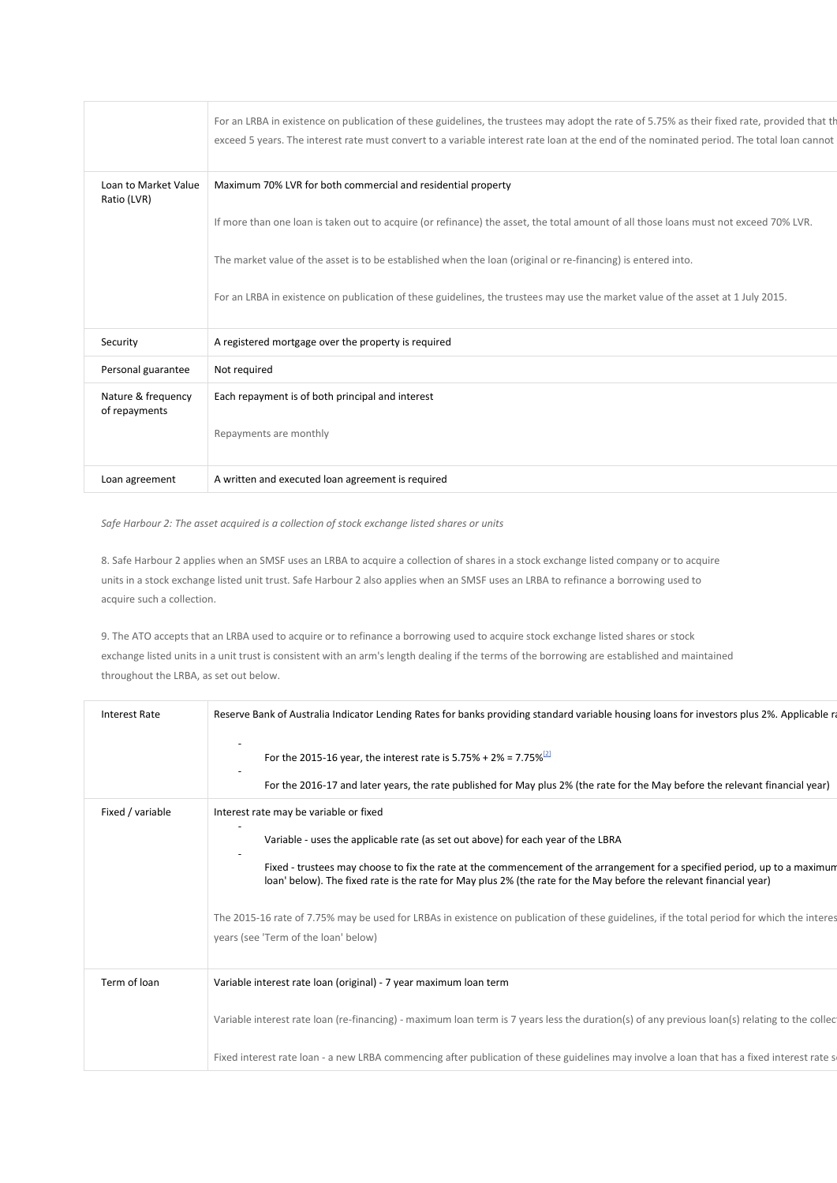| Loan to Market Value<br>Maximum 70% LVR for both commercial and residential property<br>Ratio (LVR)<br>If more than one loan is taken out to acquire (or refinance) the asset, the total amount of all those loans must not exceed 70% LVR.<br>The market value of the asset is to be established when the loan (original or re-financing) is entered into.<br>For an LRBA in existence on publication of these guidelines, the trustees may use the market value of the asset at 1 July 2015.<br>A registered mortgage over the property is required<br>Security<br>Personal guarantee<br>Not required<br>Nature & frequency<br>Each repayment is of both principal and interest<br>of repayments<br>Repayments are monthly<br>A written and executed loan agreement is required<br>Loan agreement |  | For an LRBA in existence on publication of these guidelines, the trustees may adopt the rate of 5.75% as their fixed rate, provided that the<br>exceed 5 years. The interest rate must convert to a variable interest rate loan at the end of the nominated period. The total loan cannot |  |
|-----------------------------------------------------------------------------------------------------------------------------------------------------------------------------------------------------------------------------------------------------------------------------------------------------------------------------------------------------------------------------------------------------------------------------------------------------------------------------------------------------------------------------------------------------------------------------------------------------------------------------------------------------------------------------------------------------------------------------------------------------------------------------------------------------|--|-------------------------------------------------------------------------------------------------------------------------------------------------------------------------------------------------------------------------------------------------------------------------------------------|--|
|                                                                                                                                                                                                                                                                                                                                                                                                                                                                                                                                                                                                                                                                                                                                                                                                     |  |                                                                                                                                                                                                                                                                                           |  |
|                                                                                                                                                                                                                                                                                                                                                                                                                                                                                                                                                                                                                                                                                                                                                                                                     |  |                                                                                                                                                                                                                                                                                           |  |
|                                                                                                                                                                                                                                                                                                                                                                                                                                                                                                                                                                                                                                                                                                                                                                                                     |  |                                                                                                                                                                                                                                                                                           |  |
|                                                                                                                                                                                                                                                                                                                                                                                                                                                                                                                                                                                                                                                                                                                                                                                                     |  |                                                                                                                                                                                                                                                                                           |  |
|                                                                                                                                                                                                                                                                                                                                                                                                                                                                                                                                                                                                                                                                                                                                                                                                     |  |                                                                                                                                                                                                                                                                                           |  |
|                                                                                                                                                                                                                                                                                                                                                                                                                                                                                                                                                                                                                                                                                                                                                                                                     |  |                                                                                                                                                                                                                                                                                           |  |
|                                                                                                                                                                                                                                                                                                                                                                                                                                                                                                                                                                                                                                                                                                                                                                                                     |  |                                                                                                                                                                                                                                                                                           |  |
|                                                                                                                                                                                                                                                                                                                                                                                                                                                                                                                                                                                                                                                                                                                                                                                                     |  |                                                                                                                                                                                                                                                                                           |  |
|                                                                                                                                                                                                                                                                                                                                                                                                                                                                                                                                                                                                                                                                                                                                                                                                     |  |                                                                                                                                                                                                                                                                                           |  |

*Safe Harbour 2: The asset acquired is a collection of stock exchange listed shares or units*

8. Safe Harbour 2 applies when an SMSF uses an LRBA to acquire a collection of shares in a stock exchange listed company or to acquire units in a stock exchange listed unit trust. Safe Harbour 2 also applies when an SMSF uses an LRBA to refinance a borrowing used to acquire such a collection.

9. The ATO accepts that an LRBA used to acquire or to refinance a borrowing used to acquire stock exchange listed shares or stock exchange listed units in a unit trust is consistent with an arm's length dealing if the terms of the borrowing are established and maintained throughout the LRBA, as set out below.

| <b>Interest Rate</b> | Reserve Bank of Australia Indicator Lending Rates for banks providing standard variable housing loans for investors plus 2%. Applicable ra                                                                                                       |  |  |
|----------------------|--------------------------------------------------------------------------------------------------------------------------------------------------------------------------------------------------------------------------------------------------|--|--|
|                      | For the 2015-16 year, the interest rate is 5.75% + 2% = 7.75% <sup>[2]</sup>                                                                                                                                                                     |  |  |
|                      | For the 2016-17 and later years, the rate published for May plus 2% (the rate for the May before the relevant financial year)                                                                                                                    |  |  |
| Fixed / variable     | Interest rate may be variable or fixed                                                                                                                                                                                                           |  |  |
|                      | Variable - uses the applicable rate (as set out above) for each year of the LBRA                                                                                                                                                                 |  |  |
|                      | Fixed - trustees may choose to fix the rate at the commencement of the arrangement for a specified period, up to a maximum<br>loan' below). The fixed rate is the rate for May plus 2% (the rate for the May before the relevant financial year) |  |  |
|                      | The 2015-16 rate of 7.75% may be used for LRBAs in existence on publication of these guidelines, if the total period for which the interes<br>years (see 'Term of the loan' below)                                                               |  |  |
| Term of loan         | Variable interest rate loan (original) - 7 year maximum loan term                                                                                                                                                                                |  |  |
|                      | Variable interest rate loan (re-financing) - maximum loan term is 7 years less the duration(s) of any previous loan(s) relating to the collec                                                                                                    |  |  |
|                      | Fixed interest rate loan - a new LRBA commencing after publication of these guidelines may involve a loan that has a fixed interest rate s                                                                                                       |  |  |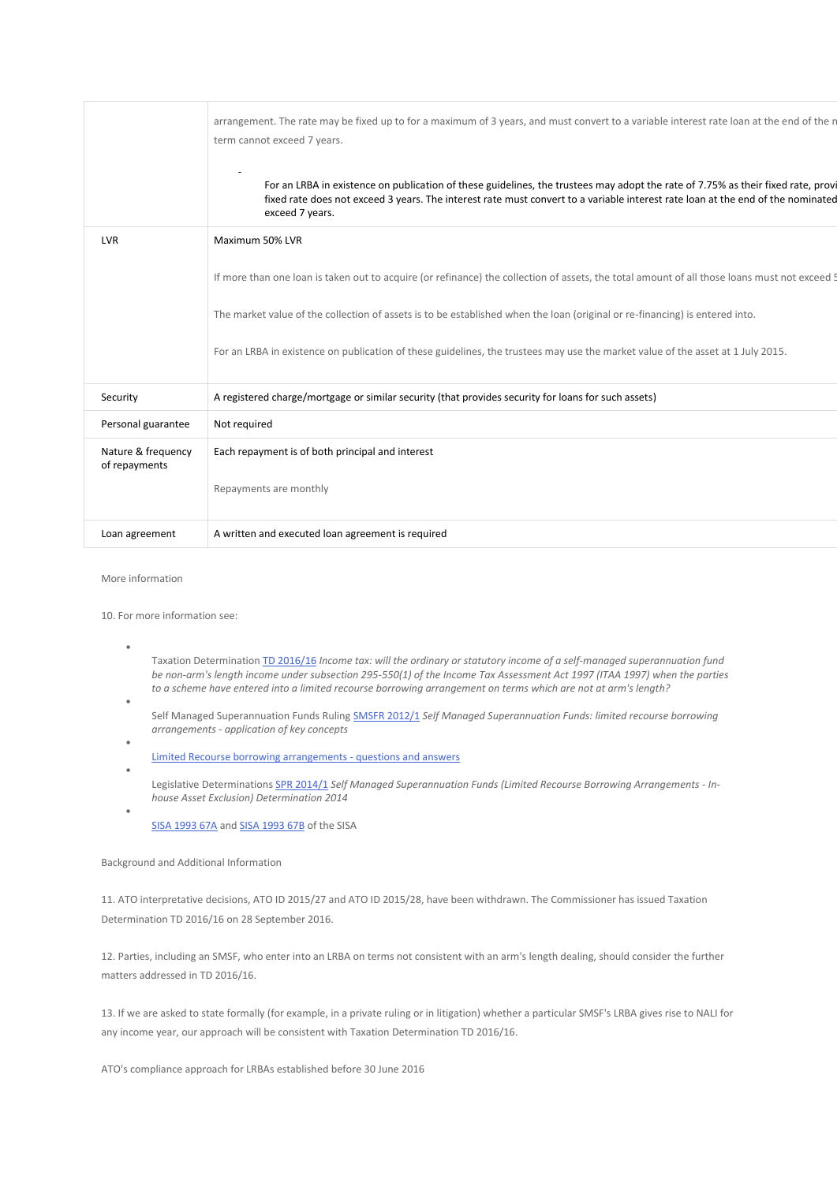| exceed 7 years.<br><b>LVR</b><br>Maximum 50% LVR<br>The market value of the collection of assets is to be established when the loan (original or re-financing) is entered into.<br>For an LRBA in existence on publication of these guidelines, the trustees may use the market value of the asset at 1 July 2015.<br>A registered charge/mortgage or similar security (that provides security for loans for such assets)<br>Security<br>Personal guarantee<br>Not required<br>Nature & frequency<br>Each repayment is of both principal and interest<br>of repayments<br>Repayments are monthly<br>A written and executed loan agreement is required<br>Loan agreement |  | arrangement. The rate may be fixed up to for a maximum of 3 years, and must convert to a variable interest rate loan at the end of the n<br>term cannot exceed 7 years.                                                                                             |  |
|-------------------------------------------------------------------------------------------------------------------------------------------------------------------------------------------------------------------------------------------------------------------------------------------------------------------------------------------------------------------------------------------------------------------------------------------------------------------------------------------------------------------------------------------------------------------------------------------------------------------------------------------------------------------------|--|---------------------------------------------------------------------------------------------------------------------------------------------------------------------------------------------------------------------------------------------------------------------|--|
|                                                                                                                                                                                                                                                                                                                                                                                                                                                                                                                                                                                                                                                                         |  | For an LRBA in existence on publication of these guidelines, the trustees may adopt the rate of 7.75% as their fixed rate, provi<br>fixed rate does not exceed 3 years. The interest rate must convert to a variable interest rate loan at the end of the nominated |  |
|                                                                                                                                                                                                                                                                                                                                                                                                                                                                                                                                                                                                                                                                         |  |                                                                                                                                                                                                                                                                     |  |
|                                                                                                                                                                                                                                                                                                                                                                                                                                                                                                                                                                                                                                                                         |  | If more than one loan is taken out to acquire (or refinance) the collection of assets, the total amount of all those loans must not exceed 5                                                                                                                        |  |
|                                                                                                                                                                                                                                                                                                                                                                                                                                                                                                                                                                                                                                                                         |  |                                                                                                                                                                                                                                                                     |  |
|                                                                                                                                                                                                                                                                                                                                                                                                                                                                                                                                                                                                                                                                         |  |                                                                                                                                                                                                                                                                     |  |
|                                                                                                                                                                                                                                                                                                                                                                                                                                                                                                                                                                                                                                                                         |  |                                                                                                                                                                                                                                                                     |  |
|                                                                                                                                                                                                                                                                                                                                                                                                                                                                                                                                                                                                                                                                         |  |                                                                                                                                                                                                                                                                     |  |
|                                                                                                                                                                                                                                                                                                                                                                                                                                                                                                                                                                                                                                                                         |  |                                                                                                                                                                                                                                                                     |  |
|                                                                                                                                                                                                                                                                                                                                                                                                                                                                                                                                                                                                                                                                         |  |                                                                                                                                                                                                                                                                     |  |
|                                                                                                                                                                                                                                                                                                                                                                                                                                                                                                                                                                                                                                                                         |  |                                                                                                                                                                                                                                                                     |  |

More information

•

•

10. For more information see:

- Taxation Determination [TD 2016/16](https://www.ato.gov.au/law/view/document?LocID=%22TXD%2FTD201616%2FNAT%2FATO%22&PiT=99991231235958) *Income tax: will the ordinary or statutory income of a self-managed superannuation fund be non-arm's length income under subsection 295-550(1) of the Income Tax Assessment Act 1997 (ITAA 1997) when the parties to a scheme have entered into a limited recourse borrowing arrangement on terms which are not at arm's length?*
- Self Managed Superannuation Funds Ruling [SMSFR 2012/1](https://www.ato.gov.au/law/view/document?LocID=%22SFR%2FSMSFR20121%2FNAT%2FATO%22&PiT=99991231235958) *Self Managed Superannuation Funds: limited recourse borrowing arrangements - application of key concepts*
- [Limited Recourse borrowing arrangements -](https://www.ato.gov.au/super/self-managed-super-funds/in-detail/smsf-resources/smsf-technical/limited-recourse-borrowing-arrangements---questions-and-answers/) questions and answers
- Legislative Determinations [SPR 2014/1](https://www.ato.gov.au/law/view/document?LocID=%22SLD%2FSPR20141%22&PiT=99991231235958) *Self Managed Superannuation Funds (Limited Recourse Borrowing Arrangements - Inhouse Asset Exclusion) Determination 2014*
- [SISA 1993 67A](https://www.ato.gov.au/law/view/document?LocID=%22PAC%2F19930078%2F67A%22) and [SISA 1993 67B](https://www.ato.gov.au/law/view/document?LocID=%22PAC%2F19930078%2F67B%22) of the SISA

Background and Additional Information

11. ATO interpretative decisions, ATO ID 2015/27 and ATO ID 2015/28, have been withdrawn. The Commissioner has issued Taxation Determination TD 2016/16 on 28 September 2016.

12. Parties, including an SMSF, who enter into an LRBA on terms not consistent with an arm's length dealing, should consider the further matters addressed in TD 2016/16.

13. If we are asked to state formally (for example, in a private ruling or in litigation) whether a particular SMSF's LRBA gives rise to NALI for any income year, our approach will be consistent with Taxation Determination TD 2016/16.

ATO's compliance approach for LRBAs established before 30 June 2016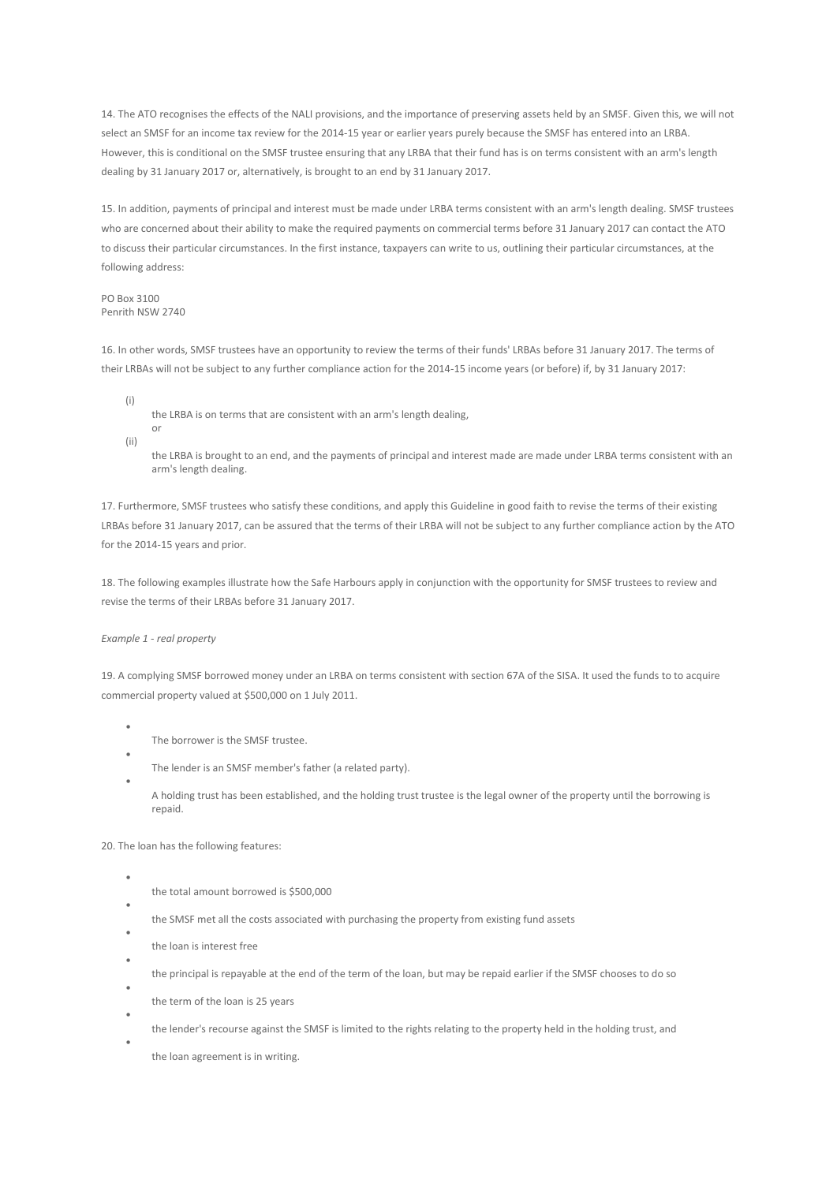14. The ATO recognises the effects of the NALI provisions, and the importance of preserving assets held by an SMSF. Given this, we will not select an SMSF for an income tax review for the 2014-15 year or earlier years purely because the SMSF has entered into an LRBA. However, this is conditional on the SMSF trustee ensuring that any LRBA that their fund has is on terms consistent with an arm's length dealing by 31 January 2017 or, alternatively, is brought to an end by 31 January 2017.

15. In addition, payments of principal and interest must be made under LRBA terms consistent with an arm's length dealing. SMSF trustees who are concerned about their ability to make the required payments on commercial terms before 31 January 2017 can contact the ATO to discuss their particular circumstances. In the first instance, taxpayers can write to us, outlining their particular circumstances, at the following address:

PO Box 3100 Penrith NSW 2740

16. In other words, SMSF trustees have an opportunity to review the terms of their funds' LRBAs before 31 January 2017. The terms of their LRBAs will not be subject to any further compliance action for the 2014-15 income years (or before) if, by 31 January 2017:

- (i) the LRBA is on terms that are consistent with an arm's length dealing, or
- (ii)

the LRBA is brought to an end, and the payments of principal and interest made are made under LRBA terms consistent with an arm's length dealing.

17. Furthermore, SMSF trustees who satisfy these conditions, and apply this Guideline in good faith to revise the terms of their existing LRBAs before 31 January 2017, can be assured that the terms of their LRBA will not be subject to any further compliance action by the ATO for the 2014-15 years and prior.

18. The following examples illustrate how the Safe Harbours apply in conjunction with the opportunity for SMSF trustees to review and revise the terms of their LRBAs before 31 January 2017.

## *Example 1 - real property*

•

•

•

•

•

19. A complying SMSF borrowed money under an LRBA on terms consistent with section 67A of the SISA. It used the funds to to acquire commercial property valued at \$500,000 on 1 July 2011.

- The borrower is the SMSF trustee.
- The lender is an SMSF member's father (a related party).
- A holding trust has been established, and the holding trust trustee is the legal owner of the property until the borrowing is repaid.

20. The loan has the following features:

- the total amount borrowed is \$500,000
- the SMSF met all the costs associated with purchasing the property from existing fund assets
- the loan is interest free
- the principal is repayable at the end of the term of the loan, but may be repaid earlier if the SMSF chooses to do so
- the term of the loan is 25 years
- the lender's recourse against the SMSF is limited to the rights relating to the property held in the holding trust, and
- the loan agreement is in writing.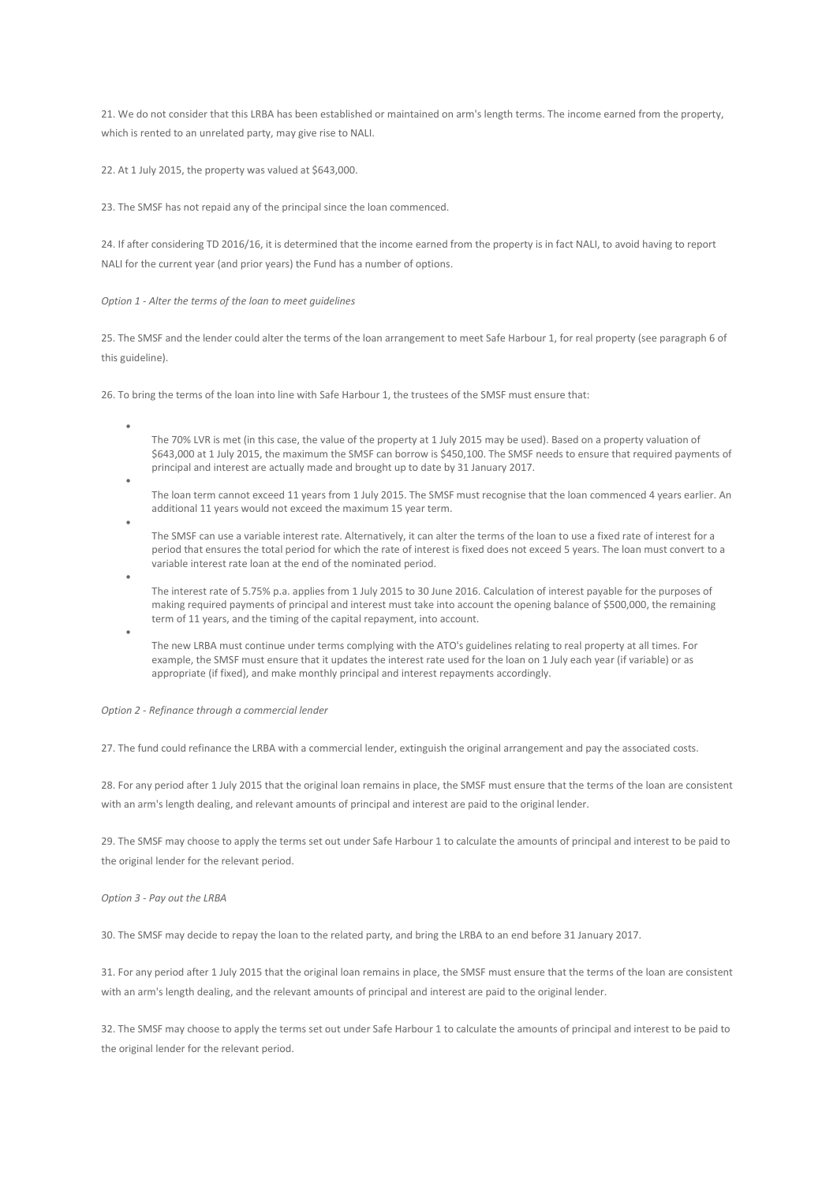21. We do not consider that this LRBA has been established or maintained on arm's length terms. The income earned from the property, which is rented to an unrelated party, may give rise to NALI.

22. At 1 July 2015, the property was valued at \$643,000.

23. The SMSF has not repaid any of the principal since the loan commenced.

24. If after considering TD 2016/16, it is determined that the income earned from the property is in fact NALI, to avoid having to report NALI for the current year (and prior years) the Fund has a number of options.

#### *Option 1 - Alter the terms of the loan to meet guidelines*

25. The SMSF and the lender could alter the terms of the loan arrangement to meet Safe Harbour 1, for real property (see paragraph 6 of this guideline).

26. To bring the terms of the loan into line with Safe Harbour 1, the trustees of the SMSF must ensure that:

- The 70% LVR is met (in this case, the value of the property at 1 July 2015 may be used). Based on a property valuation of \$643,000 at 1 July 2015, the maximum the SMSF can borrow is \$450,100. The SMSF needs to ensure that required payments of principal and interest are actually made and brought up to date by 31 January 2017.
- The loan term cannot exceed 11 years from 1 July 2015. The SMSF must recognise that the loan commenced 4 years earlier. An additional 11 years would not exceed the maximum 15 year term.
- The SMSF can use a variable interest rate. Alternatively, it can alter the terms of the loan to use a fixed rate of interest for a period that ensures the total period for which the rate of interest is fixed does not exceed 5 years. The loan must convert to a variable interest rate loan at the end of the nominated period.
- The interest rate of 5.75% p.a. applies from 1 July 2015 to 30 June 2016. Calculation of interest payable for the purposes of making required payments of principal and interest must take into account the opening balance of \$500,000, the remaining term of 11 years, and the timing of the capital repayment, into account.
	- The new LRBA must continue under terms complying with the ATO's guidelines relating to real property at all times. For example, the SMSF must ensure that it updates the interest rate used for the loan on 1 July each year (if variable) or as appropriate (if fixed), and make monthly principal and interest repayments accordingly.

#### *Option 2 - Refinance through a commercial lender*

27. The fund could refinance the LRBA with a commercial lender, extinguish the original arrangement and pay the associated costs.

28. For any period after 1 July 2015 that the original loan remains in place, the SMSF must ensure that the terms of the loan are consistent with an arm's length dealing, and relevant amounts of principal and interest are paid to the original lender.

29. The SMSF may choose to apply the terms set out under Safe Harbour 1 to calculate the amounts of principal and interest to be paid to the original lender for the relevant period.

*Option 3 - Pay out the LRBA*

•

•

•

30. The SMSF may decide to repay the loan to the related party, and bring the LRBA to an end before 31 January 2017.

31. For any period after 1 July 2015 that the original loan remains in place, the SMSF must ensure that the terms of the loan are consistent with an arm's length dealing, and the relevant amounts of principal and interest are paid to the original lender.

32. The SMSF may choose to apply the terms set out under Safe Harbour 1 to calculate the amounts of principal and interest to be paid to the original lender for the relevant period.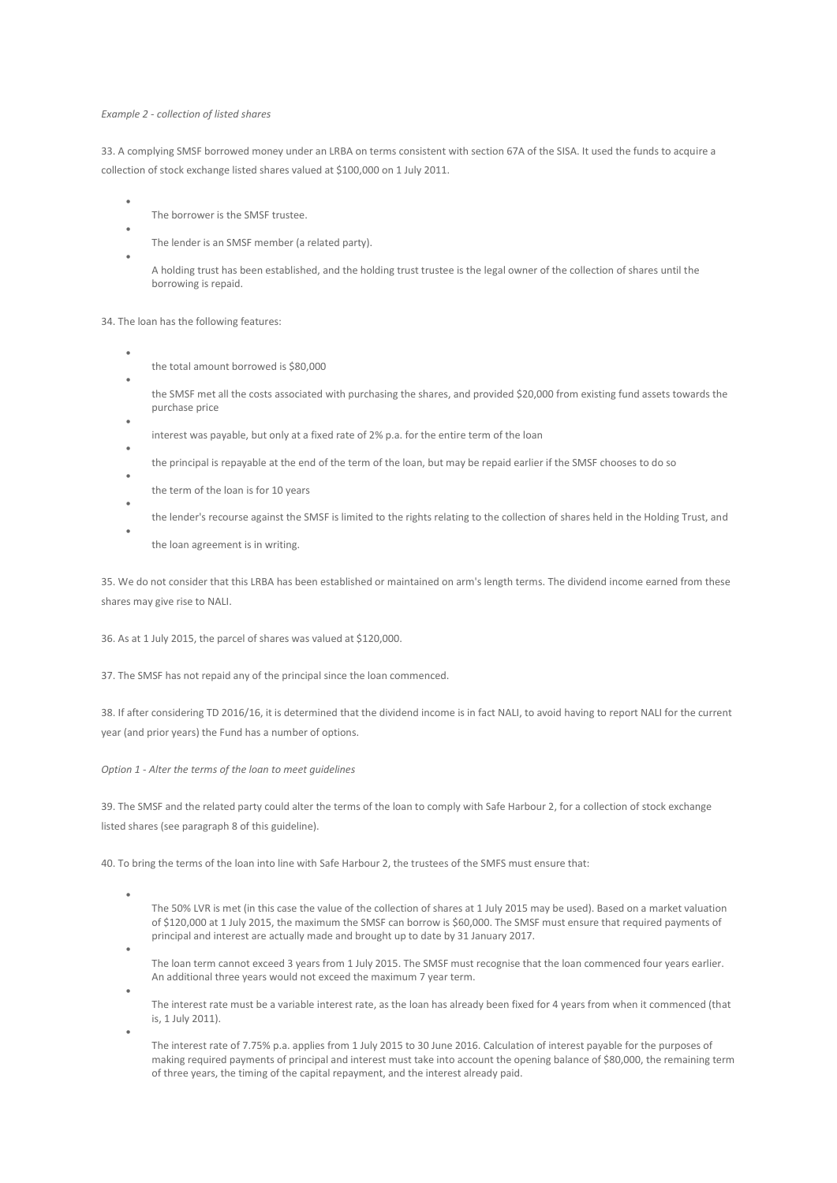### *Example 2 - collection of listed shares*

33. A complying SMSF borrowed money under an LRBA on terms consistent with section 67A of the SISA. It used the funds to acquire a collection of stock exchange listed shares valued at \$100,000 on 1 July 2011.

- The borrower is the SMSF trustee.
- The lender is an SMSF member (a related party).
- A holding trust has been established, and the holding trust trustee is the legal owner of the collection of shares until the borrowing is repaid.

34. The loan has the following features:

•

•

•

•

•

•

- the total amount borrowed is \$80,000
- the SMSF met all the costs associated with purchasing the shares, and provided \$20,000 from existing fund assets towards the purchase price
- interest was payable, but only at a fixed rate of 2% p.a. for the entire term of the loan
- the principal is repayable at the end of the term of the loan, but may be repaid earlier if the SMSF chooses to do so
- the term of the loan is for 10 years
- the lender's recourse against the SMSF is limited to the rights relating to the collection of shares held in the Holding Trust, and

the loan agreement is in writing.

35. We do not consider that this LRBA has been established or maintained on arm's length terms. The dividend income earned from these shares may give rise to NALI.

36. As at 1 July 2015, the parcel of shares was valued at \$120,000.

37. The SMSF has not repaid any of the principal since the loan commenced.

38. If after considering TD 2016/16, it is determined that the dividend income is in fact NALI, to avoid having to report NALI for the current year (and prior years) the Fund has a number of options.

*Option 1 - Alter the terms of the loan to meet guidelines*

39. The SMSF and the related party could alter the terms of the loan to comply with Safe Harbour 2, for a collection of stock exchange listed shares (see paragraph 8 of this guideline).

40. To bring the terms of the loan into line with Safe Harbour 2, the trustees of the SMFS must ensure that:

- The 50% LVR is met (in this case the value of the collection of shares at 1 July 2015 may be used). Based on a market valuation of \$120,000 at 1 July 2015, the maximum the SMSF can borrow is \$60,000. The SMSF must ensure that required payments of principal and interest are actually made and brought up to date by 31 January 2017.
- The loan term cannot exceed 3 years from 1 July 2015. The SMSF must recognise that the loan commenced four years earlier. An additional three years would not exceed the maximum 7 year term.
- The interest rate must be a variable interest rate, as the loan has already been fixed for 4 years from when it commenced (that is, 1 July 2011).
	- The interest rate of 7.75% p.a. applies from 1 July 2015 to 30 June 2016. Calculation of interest payable for the purposes of making required payments of principal and interest must take into account the opening balance of \$80,000, the remaining term of three years, the timing of the capital repayment, and the interest already paid.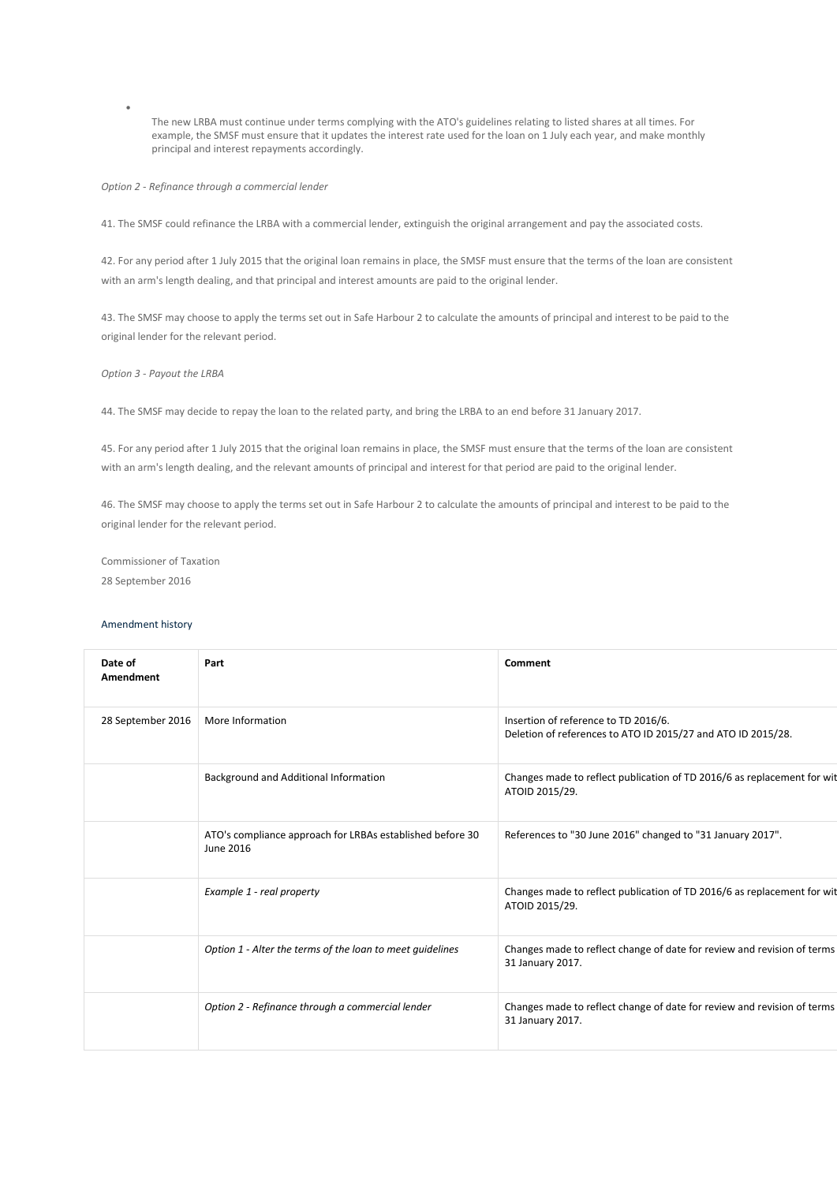The new LRBA must continue under terms complying with the ATO's guidelines relating to listed shares at all times. For example, the SMSF must ensure that it updates the interest rate used for the loan on 1 July each year, and make monthly principal and interest repayments accordingly.

*Option 2 - Refinance through a commercial lender*

41. The SMSF could refinance the LRBA with a commercial lender, extinguish the original arrangement and pay the associated costs.

42. For any period after 1 July 2015 that the original loan remains in place, the SMSF must ensure that the terms of the loan are consistent with an arm's length dealing, and that principal and interest amounts are paid to the original lender.

43. The SMSF may choose to apply the terms set out in Safe Harbour 2 to calculate the amounts of principal and interest to be paid to the original lender for the relevant period.

*Option 3 - Payout the LRBA*

•

44. The SMSF may decide to repay the loan to the related party, and bring the LRBA to an end before 31 January 2017.

45. For any period after 1 July 2015 that the original loan remains in place, the SMSF must ensure that the terms of the loan are consistent with an arm's length dealing, and the relevant amounts of principal and interest for that period are paid to the original lender.

46. The SMSF may choose to apply the terms set out in Safe Harbour 2 to calculate the amounts of principal and interest to be paid to the original lender for the relevant period.

Commissioner of Taxation 28 September 2016

# Amendment history

| Date of<br>Amendment | Part                                                                   | Comment                                                                                              |
|----------------------|------------------------------------------------------------------------|------------------------------------------------------------------------------------------------------|
| 28 September 2016    | More Information                                                       | Insertion of reference to TD 2016/6.<br>Deletion of references to ATO ID 2015/27 and ATO ID 2015/28. |
|                      | Background and Additional Information                                  | Changes made to reflect publication of TD 2016/6 as replacement for wit<br>ATOID 2015/29.            |
|                      | ATO's compliance approach for LRBAs established before 30<br>June 2016 | References to "30 June 2016" changed to "31 January 2017".                                           |
|                      | Example 1 - real property                                              | Changes made to reflect publication of TD 2016/6 as replacement for wit<br>ATOID 2015/29.            |
|                      | Option 1 - Alter the terms of the loan to meet guidelines              | Changes made to reflect change of date for review and revision of terms<br>31 January 2017.          |
|                      | Option 2 - Refinance through a commercial lender                       | Changes made to reflect change of date for review and revision of terms<br>31 January 2017.          |